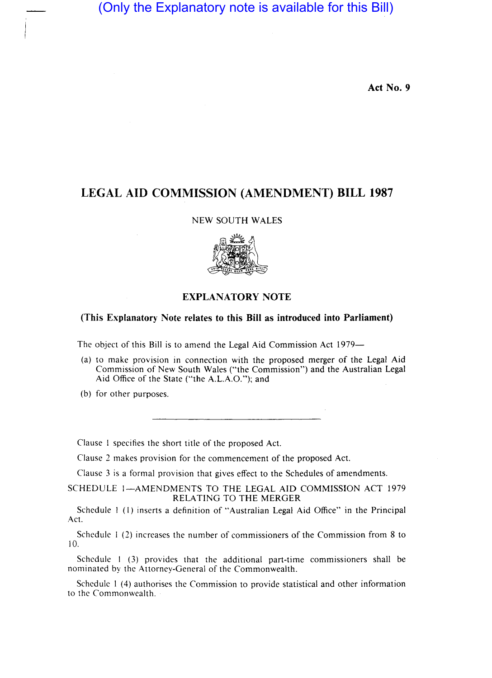(Only the Explanatory note is available for this Bill)

Act No. 9

# LEGAL AID COMMISSION (AMENDMENT) BILL 1987

#### NEW SOUTH WALES



### EXPLANATORY NOTE

#### (This Explanatory Note relates to this Bill as introduced into Parliament)

The object of this Bill is to amend the Legal Aid Commission Act 1979-

- (a) to make provision in connection with the proposed merger of the Legal Aid Commission of New South Wales ("the Commission") and the Australian Legal Aid Office of the State ("the A.L.A.O. "); and
- (b) for other purposes.

Clause I specifies the short title of the proposed Act.

Clause 2 makes provision for the commencement of the proposed Act.

Clause 3 is a formal provision that gives effect to the Schedules of amendments.

SCHEDULE 1-AMENDMENTS TO THE LEGAL AID COMMISSION ACT 1979 RELATING TO THE MERGER

Schedule I (I) inserts a definition of "Australian Legal Aid Office" in the Principal Act.

Schedule I (2) increases the number of commissioners of the Commission from 8 to 10.

Schedule 1 (3) provides that the additional part-time commissioners shall be nominated by the Attorney-General of the Commonwealth.

Schedule I (4) authorises the Commission to provide statistical and other information to the Commonwealth.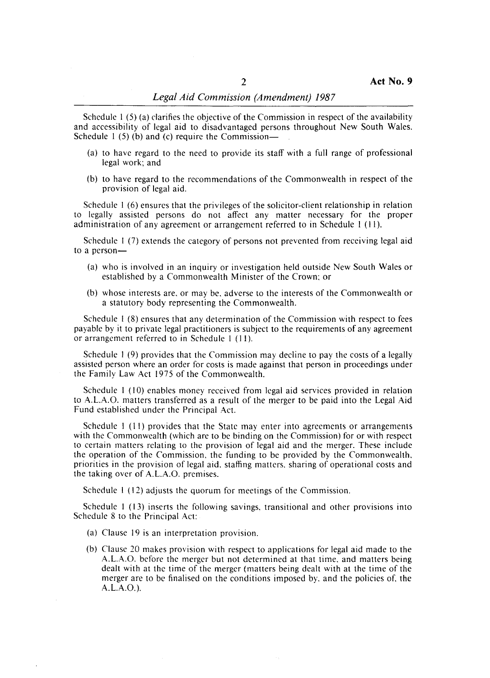## *Legal Aid Commission (Amendment) 1987*

Schedule  $1(5)$  (a) clarifies the objective of the Commission in respect of the availability and accessibility of legal aid to disadvantaged persons throughout New South Wales. Schedule 1  $(5)$  (b) and  $(c)$  require the Commission-

- (a) to have regard to the need to provide its staff with a full range of professional legal work; and
- (b) to have regard to the recommendations of the Commonwealth in respect of the provision of legal aid.

Schedule I (6) ensures that the privileges of the solicitor-client relationship in relation to legally assisted persons do not affect any matter necessary for the proper administration of any agreement or arrangement referred to in Schedule I (11).

Schedule I (7) extends the category of persons not prevented from receiving legal aid to a person-

- (a) who is involved in an inquiry or investigation held outside New South Wales or established by a Commonwealth Minister of the Crown; or
- (b) whose interests are. or may be. adverse to the interests of the Commonwealth or a statutory body representing the Commonwealth.

Schedule I (8) ensures that any determination of the Commission with respect to fees payable by it to private legal practitioners is subject to the requirements of any agreement or arrangement referred to in Schedule I (11).

Schedule I (9) provides that the Commission may decline to pay the costs of a legally assisted person where an order for costs is made against that person in proceedings under the Family Law Act 1975 of the Commonwealth.

Schedule I (10) enables money received from legal aid services provided in relation to A.L.A.O. matters transferred as a result of the merger to be paid into the Legal Aid Fund established under the Principal Act.

Schedule I (11) provides that the State may enter into agreements or arrangements with the Commonwealth (which are to be binding on the Commission) for or with respect to certain matters relating to the provision of legal aid and the merger. These include the operation of the Commission. the funding to be provided by the Commonwealth. priorities in the provision of legal aid. staffing matters. sharing of operational costs and the taking over of A.L.A.O. premises.

Schedule I (12) adjusts the quorum for meetings of the Commission.

Schedule I (13) inserts the following savings. transitional and other provisions into Schedule 8 to the Principal Act:

- (a) Clause 19 is an interpretation provision.
- (b) Clause 20 makes provision with respect to applications for legal aid made to the A.L.A.O. before the merger but not determined at that time. and matters being dealt with at the time of the merger (matters being dealt with at the time of the merger are to be finalised on the conditions imposed by. and the policies of. the A.L.A.O.).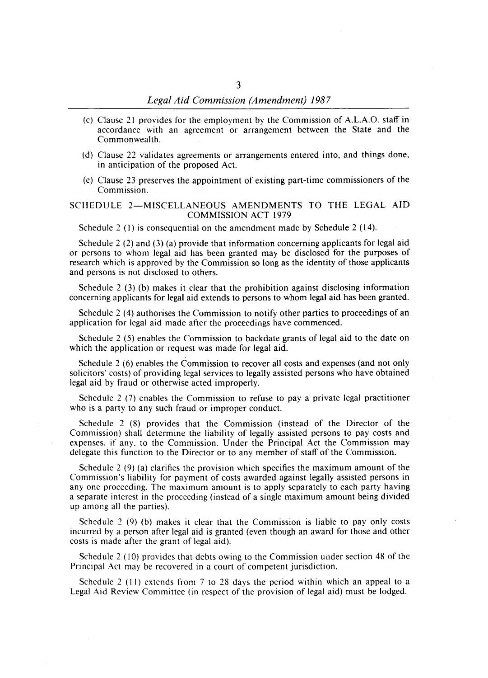- (c) Clause 21 provides for the employment by the Commission of A.L.A.O. staff in accordance with an agreement or arrangement between the State and the Commonwealth.
- (d) Clause 22 validates agreements or arrangements entered into, and things done, in anticipation of the proposed Act.
- (e) Clause 23 preserves the appointment of existing part-time commissioners of the Commission.

#### SCHEDULE 2-MISCELLANEOUS AMENDMENTS TO THE LEGAL AID COMMISSION ACT 1979

Schedule 2 (I) is consequential on the amendment made by Schedule 2 (14).

Schedule 2 (2) and (3) (a) provide that information concerning applicants for legal aid or persons to whom legal aid has been granted may be disclosed for the purposes of research which is approved by the Commission so long as the identity of those applicants and persons is not disclosed to others.

Schedule 2 (3) (b) makes it clear that the prohibition against disclosing information concerning applicants for legal aid extends to persons to whom legal aid has been granted.

Schedule 2 (4) authorises the Commission to notify other parties to proceedings of an application for legal aid made after the proceedings have commenced.

Schedule 2 (5) enables the Commission to backdate grants of legal aid to the date on which the application or request was made for legal aid.

Schedule 2 (6) enables the Commission to recover all costs and expenses (and not only solicitors' costs) of providing legal services to legally assisted persons who have obtained legal aid by fraud or otherwise acted improperly.

Schedule 2 (7) enables the Commission to refuse to pay a private legal practitioner who is a party to any such fraud or improper conduct.

Schedule 2 (8) provides that the Commission (instead of the Director of the Commission) shall determine the liability of legally assisted persons to pay costs and expenses, if any, to the Commission. Under the Principal Act the Commission may delegate this function to the Director or to any member of staff of the Commission.

Schedule 2 (9) (a) clarifies the provision which specifies the maximum amount of the Commission's liability for payment of costs awarded against legally assisted persons in anyone proceeding. The maximum amount is to apply separately to each party having a separate interest in the proceeding (instead of a single maximum amount being divided up among all the parties).

Schedule 2 (9) (b) makes it clear that the Commission is liable to pay only costs incurred by a person after legal aid is granted (even though an award for those and other costs is made after the grant of legal aid).

Schedule 2 (10) provides that debts owing to the Commission under section 48 of the Principal Act may be recovered in a court of competent jurisdiction.

Schedule 2 (11) extends from 7 to 28 days the period within which an appeal to a Legal Aid Review Committee (in respect of the provision of legal aid) must be lodged.